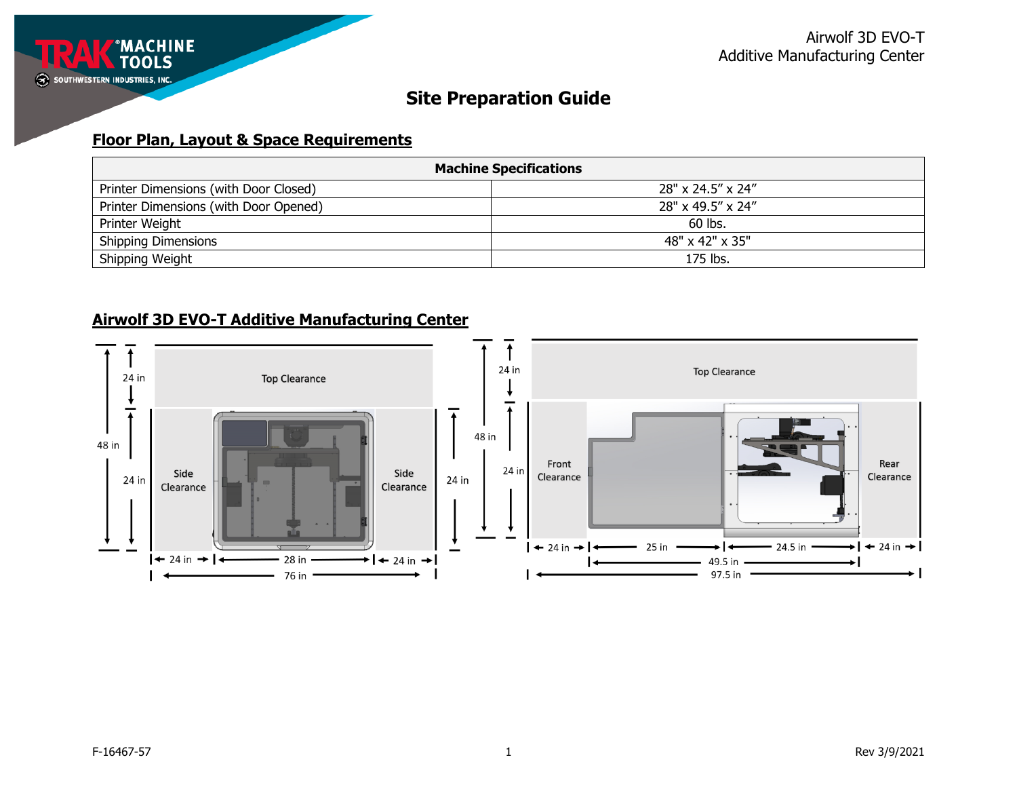

### **Floor Plan, Layout & Space Requirements**

| <b>Machine Specifications</b>         |                   |  |
|---------------------------------------|-------------------|--|
| Printer Dimensions (with Door Closed) | 28" x 24.5" x 24" |  |
| Printer Dimensions (with Door Opened) | 28" x 49.5" x 24" |  |
| Printer Weight                        | 60 lbs.           |  |
| <b>Shipping Dimensions</b>            | 48" x 42" x 35"   |  |
| Shipping Weight                       | 175 lbs.          |  |

### **Airwolf 3D EVO-T Additive Manufacturing Center**

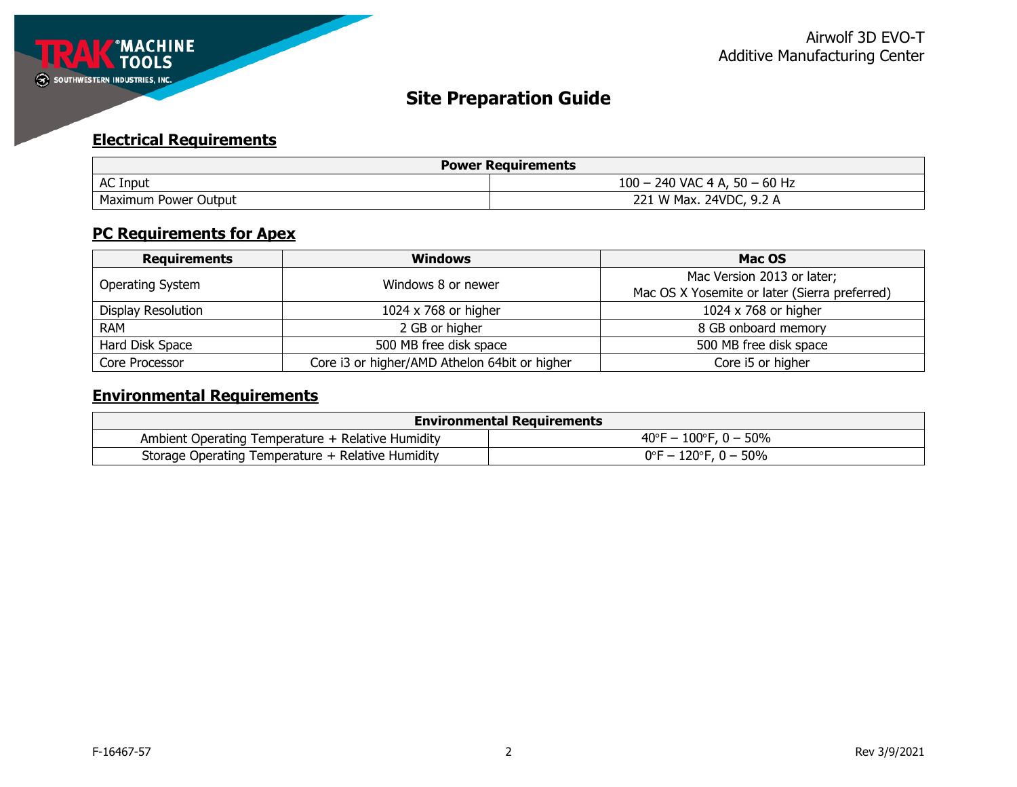

## **Electrical Requirements**

| <b>Power Requirements</b> |                                          |  |
|---------------------------|------------------------------------------|--|
| <b>AC Input</b>           | $100 -$<br>$-$ 240 VAC 4 A, 50 $-$ 60 Hz |  |
| Maximum Power Output      | 221 W Max. 24VDC, 9.2 A                  |  |

### **PC Requirements for Apex**

| <b>Requirements</b>                           | <b>Windows</b>                                | Mac OS                                        |
|-----------------------------------------------|-----------------------------------------------|-----------------------------------------------|
| Windows 8 or newer<br><b>Operating System</b> |                                               | Mac Version 2013 or later;                    |
|                                               |                                               | Mac OS X Yosemite or later (Sierra preferred) |
| Display Resolution                            | 1024 x 768 or higher                          | 1024 x 768 or higher                          |
| <b>RAM</b>                                    | 2 GB or higher                                | 8 GB onboard memory                           |
| Hard Disk Space                               | 500 MB free disk space                        | 500 MB free disk space                        |
| Core Processor                                | Core i3 or higher/AMD Athelon 64bit or higher | Core i5 or higher                             |

# **Environmental Requirements**

| <b>Environmental Requirements</b>                 |                                           |  |
|---------------------------------------------------|-------------------------------------------|--|
| Ambient Operating Temperature + Relative Humidity | $40^{\circ}$ F – $100^{\circ}$ F, 0 – 50% |  |
| Storage Operating Temperature + Relative Humidity | $0^{\circ}$ F – 120 $^{\circ}$ F, 0 – 50% |  |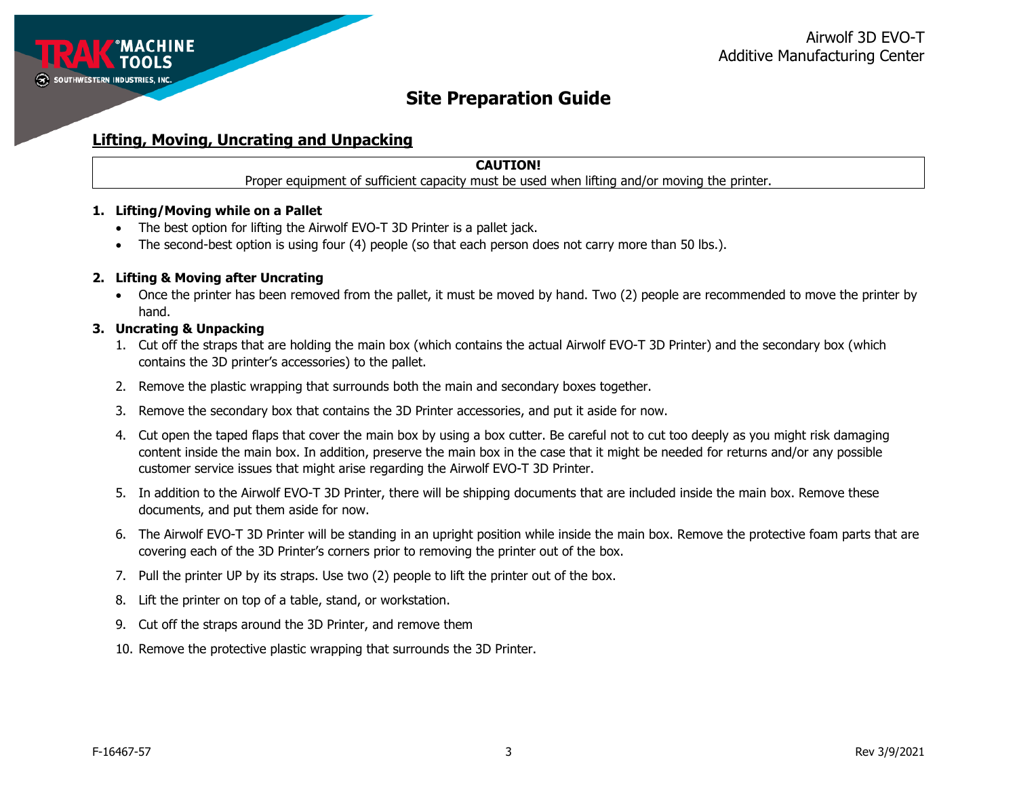

### **Lifting, Moving, Uncrating and Unpacking**

### **CAUTION!**

Proper equipment of sufficient capacity must be used when lifting and/or moving the printer.

#### **1. Lifting/Moving while on a Pallet**

- The best option for lifting the Airwolf EVO-T 3D Printer is a pallet jack.
- The second-best option is using four (4) people (so that each person does not carry more than 50 lbs.).

#### **2. Lifting & Moving after Uncrating**

• Once the printer has been removed from the pallet, it must be moved by hand. Two (2) people are recommended to move the printer by hand.

#### **3. Uncrating & Unpacking**

- 1. Cut off the straps that are holding the main box (which contains the actual Airwolf EVO-T 3D Printer) and the secondary box (which contains the 3D printer's accessories) to the pallet.
- 2. Remove the plastic wrapping that surrounds both the main and secondary boxes together.
- 3. Remove the secondary box that contains the 3D Printer accessories, and put it aside for now.
- 4. Cut open the taped flaps that cover the main box by using a box cutter. Be careful not to cut too deeply as you might risk damaging content inside the main box. In addition, preserve the main box in the case that it might be needed for returns and/or any possible customer service issues that might arise regarding the Airwolf EVO-T 3D Printer.
- 5. In addition to the Airwolf EVO-T 3D Printer, there will be shipping documents that are included inside the main box. Remove these documents, and put them aside for now.
- 6. The Airwolf EVO-T 3D Printer will be standing in an upright position while inside the main box. Remove the protective foam parts that are covering each of the 3D Printer's corners prior to removing the printer out of the box.
- 7. Pull the printer UP by its straps. Use two (2) people to lift the printer out of the box.
- 8. Lift the printer on top of a table, stand, or workstation.
- 9. Cut off the straps around the 3D Printer, and remove them
- 10. Remove the protective plastic wrapping that surrounds the 3D Printer.